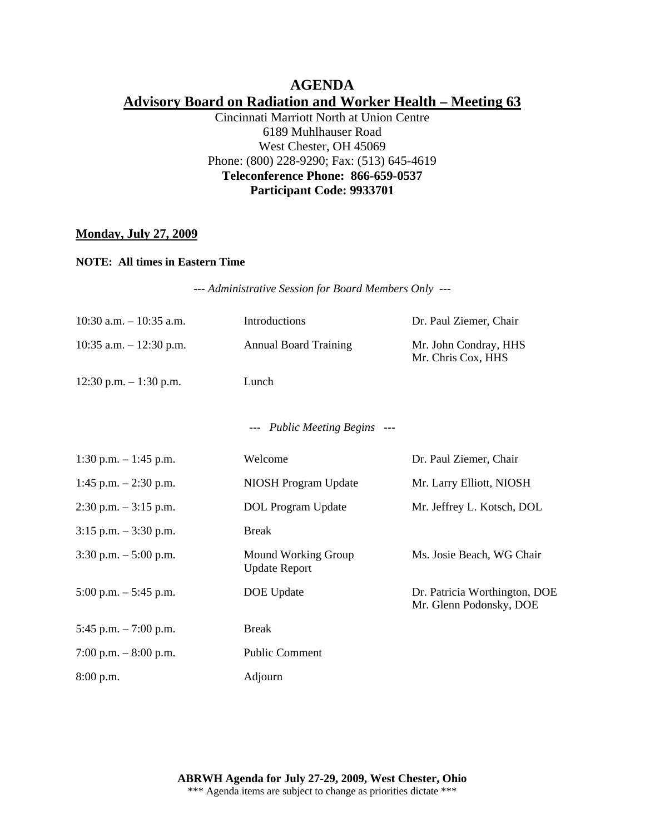# **AGENDA Advisory Board on Radiation and Worker Health – Meeting 63**

Cincinnati Marriott North at Union Centre 6189 Muhlhauser Road West Chester, OH 45069 Phone: (800) 228-9290; Fax: (513) 645-4619 **Teleconference Phone: 866-659-0537 Participant Code: 9933701** 

### **Monday, July 27, 2009**

#### **NOTE: All times in Eastern Time**

*--- Administrative Session for Board Members Only ---* 

| $10:30$ a.m. $-10:35$ a.m. | Introductions                               | Dr. Paul Ziemer, Chair                                   |
|----------------------------|---------------------------------------------|----------------------------------------------------------|
| 10:35 a.m. $-$ 12:30 p.m.  | <b>Annual Board Training</b>                | Mr. John Condray, HHS<br>Mr. Chris Cox, HHS              |
| $12:30$ p.m. $-1:30$ p.m.  | Lunch                                       |                                                          |
|                            | --- Public Meeting Begins ---               |                                                          |
| 1:30 p.m. $-1:45$ p.m.     | Welcome                                     | Dr. Paul Ziemer, Chair                                   |
| 1:45 p.m. $- 2:30$ p.m.    | NIOSH Program Update                        | Mr. Larry Elliott, NIOSH                                 |
| $2:30$ p.m. $-3:15$ p.m.   | DOL Program Update                          | Mr. Jeffrey L. Kotsch, DOL                               |
| $3:15$ p.m. $-3:30$ p.m.   | <b>Break</b>                                |                                                          |
| $3:30$ p.m. $-5:00$ p.m.   | Mound Working Group<br><b>Update Report</b> | Ms. Josie Beach, WG Chair                                |
| $5:00$ p.m. $-5:45$ p.m.   | DOE Update                                  | Dr. Patricia Worthington, DOE<br>Mr. Glenn Podonsky, DOE |
| 5:45 p.m. $-7:00$ p.m.     | <b>Break</b>                                |                                                          |
| 7:00 p.m. $-8:00$ p.m.     | <b>Public Comment</b>                       |                                                          |
| 8:00 p.m.                  | Adjourn                                     |                                                          |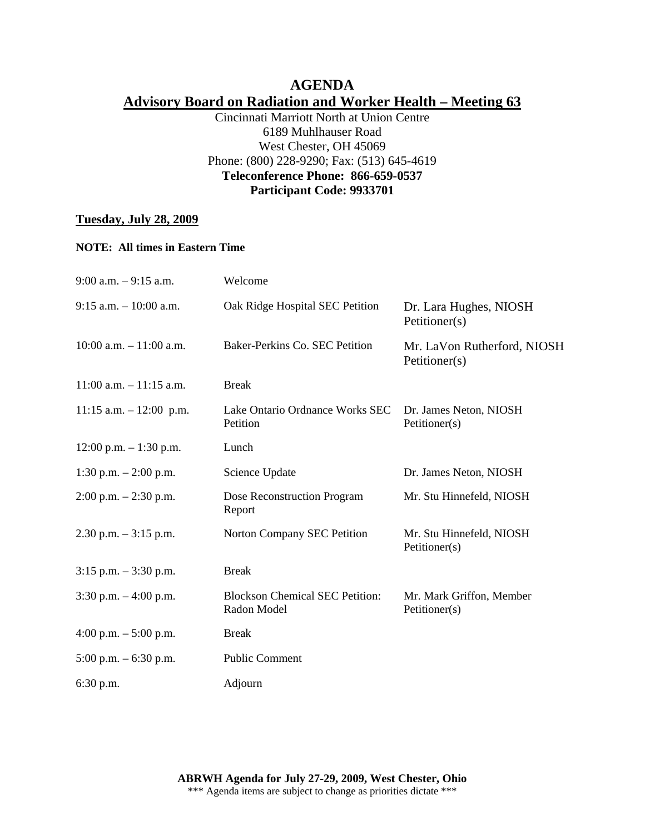# **AGENDA Advisory Board on Radiation and Worker Health – Meeting 63**

Cincinnati Marriott North at Union Centre 6189 Muhlhauser Road West Chester, OH 45069 Phone: (800) 228-9290; Fax: (513) 645-4619 **Teleconference Phone: 866-659-0537 Participant Code: 9933701** 

### **Tuesday, July 28, 2009**

#### **NOTE: All times in Eastern Time**

| $9:00$ a.m. $-9:15$ a.m.   | Welcome                                               |                                              |
|----------------------------|-------------------------------------------------------|----------------------------------------------|
| $9:15$ a.m. $-10:00$ a.m.  | Oak Ridge Hospital SEC Petition                       | Dr. Lara Hughes, NIOSH<br>Petitioner(s)      |
| $10:00$ a.m. $-11:00$ a.m. | Baker-Perkins Co. SEC Petition                        | Mr. LaVon Rutherford, NIOSH<br>Petitioner(s) |
| $11:00$ a.m. $-11:15$ a.m. | <b>Break</b>                                          |                                              |
| $11:15$ a.m. $-12:00$ p.m. | Lake Ontario Ordnance Works SEC<br>Petition           | Dr. James Neton, NIOSH<br>Petitioner(s)      |
| $12:00$ p.m. $-1:30$ p.m.  | Lunch                                                 |                                              |
| 1:30 p.m. $- 2:00$ p.m.    | Science Update                                        | Dr. James Neton, NIOSH                       |
| $2:00$ p.m. $-2:30$ p.m.   | Dose Reconstruction Program<br>Report                 | Mr. Stu Hinnefeld, NIOSH                     |
| $2.30$ p.m. $-3:15$ p.m.   | Norton Company SEC Petition                           | Mr. Stu Hinnefeld, NIOSH<br>Petitioner(s)    |
| $3:15$ p.m. $-3:30$ p.m.   | <b>Break</b>                                          |                                              |
| $3:30$ p.m. $-4:00$ p.m.   | <b>Blockson Chemical SEC Petition:</b><br>Radon Model | Mr. Mark Griffon, Member<br>Petitioner(s)    |
| 4:00 p.m. $-$ 5:00 p.m.    | <b>Break</b>                                          |                                              |
| $5:00$ p.m. $-6:30$ p.m.   | <b>Public Comment</b>                                 |                                              |
| $6:30$ p.m.                | Adjourn                                               |                                              |